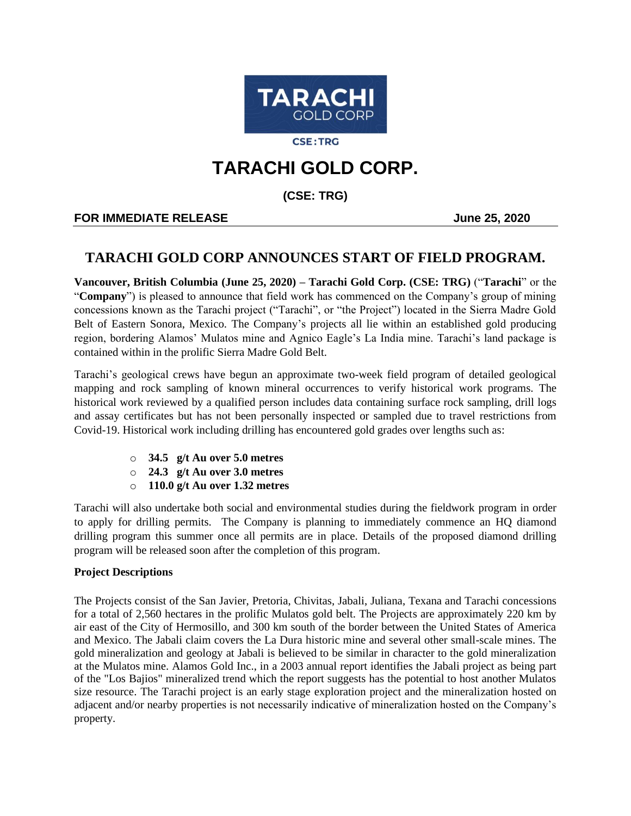

**CSE:TRG** 

# **TARACHI GOLD CORP.**

**(CSE: TRG)**

## **FOR IMMEDIATE RELEASE And SERVICE 2020**

# **TARACHI GOLD CORP ANNOUNCES START OF FIELD PROGRAM.**

**Vancouver, British Columbia (June 25, 2020) – Tarachi Gold Corp. (CSE: TRG)** ("**Tarachi**" or the "**Company**") is pleased to announce that field work has commenced on the Company's group of mining concessions known as the Tarachi project ("Tarachi", or "the Project") located in the Sierra Madre Gold Belt of Eastern Sonora, Mexico. The Company's projects all lie within an established gold producing region, bordering Alamos' Mulatos mine and Agnico Eagle's La India mine. Tarachi's land package is contained within in the prolific Sierra Madre Gold Belt.

Tarachi's geological crews have begun an approximate two-week field program of detailed geological mapping and rock sampling of known mineral occurrences to verify historical work programs. The historical work reviewed by a qualified person includes data containing surface rock sampling, drill logs and assay certificates but has not been personally inspected or sampled due to travel restrictions from Covid-19. Historical work including drilling has encountered gold grades over lengths such as:

- o **34.5 g/t Au over 5.0 metres**
- o **24.3 g/t Au over 3.0 metres**
- o **110.0 g/t Au over 1.32 metres**

Tarachi will also undertake both social and environmental studies during the fieldwork program in order to apply for drilling permits. The Company is planning to immediately commence an HQ diamond drilling program this summer once all permits are in place. Details of the proposed diamond drilling program will be released soon after the completion of this program.

### **Project Descriptions**

The Projects consist of the San Javier, Pretoria, Chivitas, Jabali, Juliana, Texana and Tarachi concessions for a total of 2,560 hectares in the prolific Mulatos gold belt. The Projects are approximately 220 km by air east of the City of Hermosillo, and 300 km south of the border between the United States of America and Mexico. The Jabali claim covers the La Dura historic mine and several other small-scale mines. The gold mineralization and geology at Jabali is believed to be similar in character to the gold mineralization at the Mulatos mine. Alamos Gold Inc., in a 2003 annual report identifies the Jabali project as being part of the "Los Bajios" mineralized trend which the report suggests has the potential to host another Mulatos size resource. The Tarachi project is an early stage exploration project and the mineralization hosted on adjacent and/or nearby properties is not necessarily indicative of mineralization hosted on the Company's property.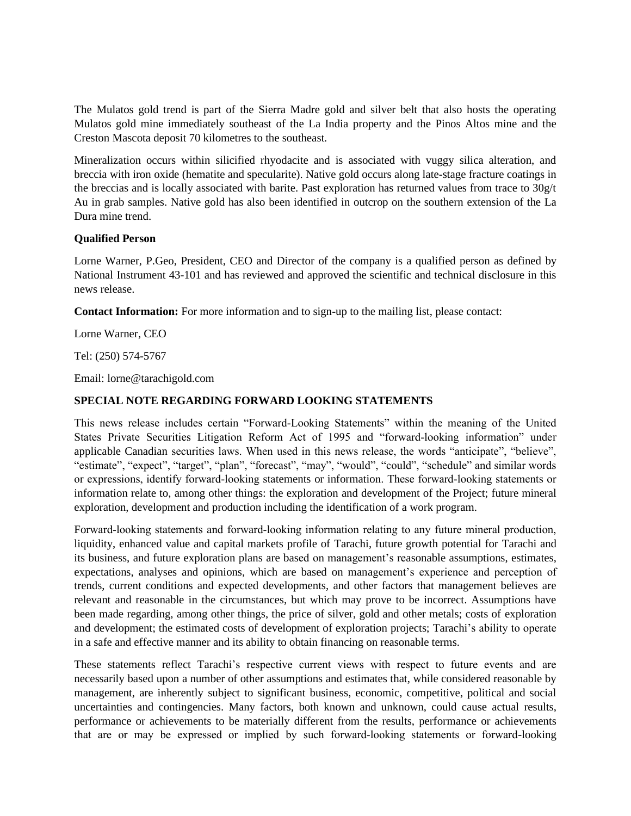The Mulatos gold trend is part of the Sierra Madre gold and silver belt that also hosts the operating Mulatos gold mine immediately southeast of the La India property and the Pinos Altos mine and the Creston Mascota deposit 70 kilometres to the southeast.

Mineralization occurs within silicified rhyodacite and is associated with vuggy silica alteration, and breccia with iron oxide (hematite and specularite). Native gold occurs along late-stage fracture coatings in the breccias and is locally associated with barite. Past exploration has returned values from trace to 30g/t Au in grab samples. Native gold has also been identified in outcrop on the southern extension of the La Dura mine trend.

#### **Qualified Person**

Lorne Warner, P.Geo, President, CEO and Director of the company is a qualified person as defined by National Instrument 43-101 and has reviewed and approved the scientific and technical disclosure in this news release.

**Contact Information:** For more information and to sign-up to the mailing list, please contact:

Lorne Warner, CEO

Tel: (250) 574-5767

Email: lorne@tarachigold.com

#### **SPECIAL NOTE REGARDING FORWARD LOOKING STATEMENTS**

This news release includes certain "Forward‐Looking Statements" within the meaning of the United States Private Securities Litigation Reform Act of 1995 and "forward‐looking information" under applicable Canadian securities laws. When used in this news release, the words "anticipate", "believe", "estimate", "expect", "target", "plan", "forecast", "may", "would", "could", "schedule" and similar words or expressions, identify forward‐looking statements or information. These forward‐looking statements or information relate to, among other things: the exploration and development of the Project; future mineral exploration, development and production including the identification of a work program.

Forward‐looking statements and forward‐looking information relating to any future mineral production, liquidity, enhanced value and capital markets profile of Tarachi, future growth potential for Tarachi and its business, and future exploration plans are based on management's reasonable assumptions, estimates, expectations, analyses and opinions, which are based on management's experience and perception of trends, current conditions and expected developments, and other factors that management believes are relevant and reasonable in the circumstances, but which may prove to be incorrect. Assumptions have been made regarding, among other things, the price of silver, gold and other metals; costs of exploration and development; the estimated costs of development of exploration projects; Tarachi's ability to operate in a safe and effective manner and its ability to obtain financing on reasonable terms.

These statements reflect Tarachi's respective current views with respect to future events and are necessarily based upon a number of other assumptions and estimates that, while considered reasonable by management, are inherently subject to significant business, economic, competitive, political and social uncertainties and contingencies. Many factors, both known and unknown, could cause actual results, performance or achievements to be materially different from the results, performance or achievements that are or may be expressed or implied by such forward‐looking statements or forward-looking